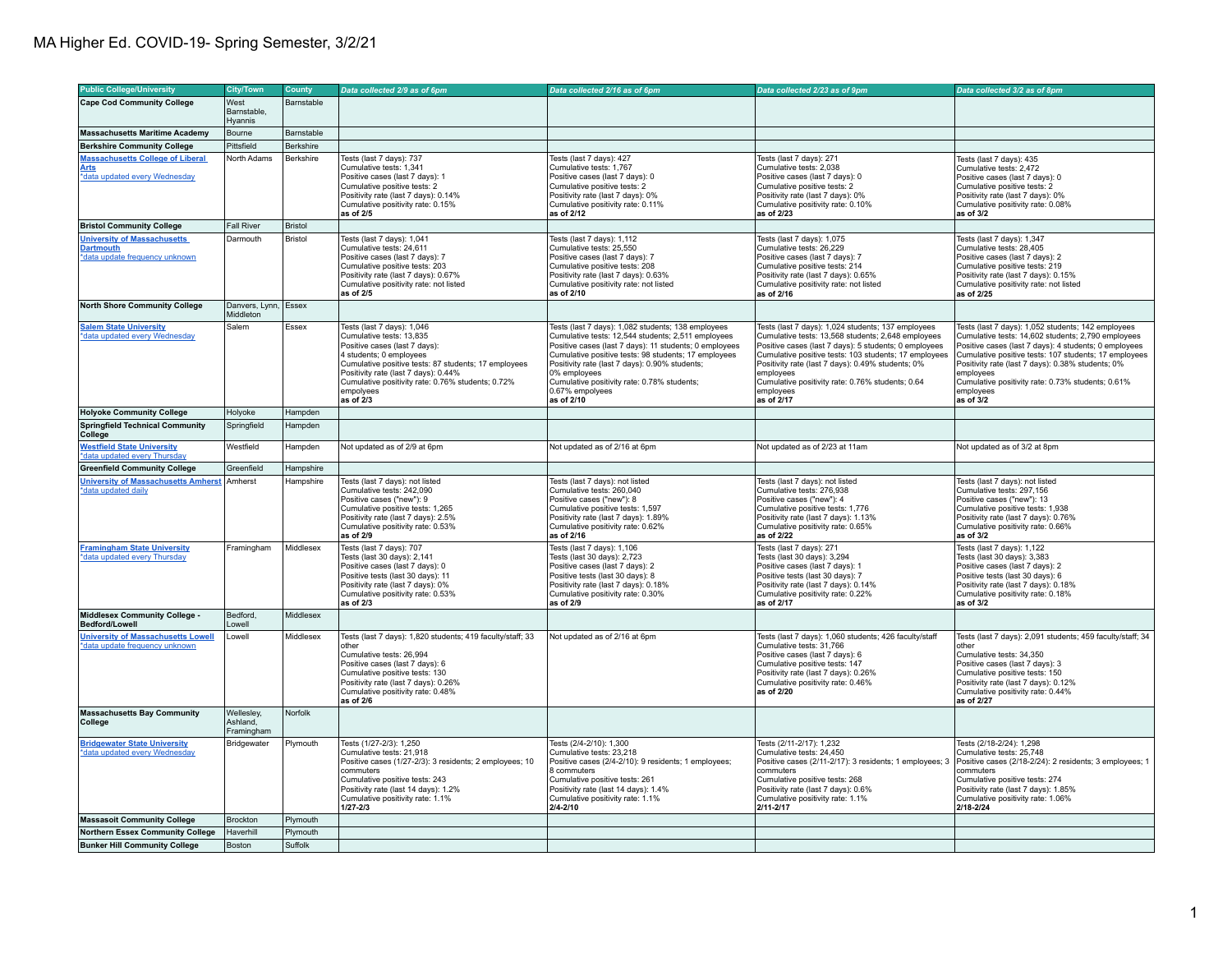| <b>Public College/University</b>                                                        | <b>City/Town</b>                     | <b>County</b>  | Data collected 2/9 as of 6pm                                                                                                                                                                                                                                                                      | Data collected 2/16 as of 6pm                                                                                                                                                                                                                                                                                                                                                | Data collected 2/23 as of 9pm                                                                                                                                                                                                                                                                                                                                               | Data collected 3/2 as of 8pm                                                                                                                                                                                                                                                                                                                                                |
|-----------------------------------------------------------------------------------------|--------------------------------------|----------------|---------------------------------------------------------------------------------------------------------------------------------------------------------------------------------------------------------------------------------------------------------------------------------------------------|------------------------------------------------------------------------------------------------------------------------------------------------------------------------------------------------------------------------------------------------------------------------------------------------------------------------------------------------------------------------------|-----------------------------------------------------------------------------------------------------------------------------------------------------------------------------------------------------------------------------------------------------------------------------------------------------------------------------------------------------------------------------|-----------------------------------------------------------------------------------------------------------------------------------------------------------------------------------------------------------------------------------------------------------------------------------------------------------------------------------------------------------------------------|
|                                                                                         |                                      |                |                                                                                                                                                                                                                                                                                                   |                                                                                                                                                                                                                                                                                                                                                                              |                                                                                                                                                                                                                                                                                                                                                                             |                                                                                                                                                                                                                                                                                                                                                                             |
| <b>Cape Cod Community College</b>                                                       | West<br>Barnstable,<br>Hyannis       | Barnstable     |                                                                                                                                                                                                                                                                                                   |                                                                                                                                                                                                                                                                                                                                                                              |                                                                                                                                                                                                                                                                                                                                                                             |                                                                                                                                                                                                                                                                                                                                                                             |
| <b>Massachusetts Maritime Academy</b>                                                   | Bourne                               | Barnstable     |                                                                                                                                                                                                                                                                                                   |                                                                                                                                                                                                                                                                                                                                                                              |                                                                                                                                                                                                                                                                                                                                                                             |                                                                                                                                                                                                                                                                                                                                                                             |
| <b>Berkshire Community College</b>                                                      | Pittsfield                           | Berkshire      |                                                                                                                                                                                                                                                                                                   |                                                                                                                                                                                                                                                                                                                                                                              |                                                                                                                                                                                                                                                                                                                                                                             |                                                                                                                                                                                                                                                                                                                                                                             |
|                                                                                         |                                      |                |                                                                                                                                                                                                                                                                                                   |                                                                                                                                                                                                                                                                                                                                                                              |                                                                                                                                                                                                                                                                                                                                                                             |                                                                                                                                                                                                                                                                                                                                                                             |
| <b>Massachusetts College of Liberal</b><br><b>Arts</b><br>*data updated every Wednesday | North Adams                          | Berkshire      | Tests (last 7 days): 737<br>Cumulative tests: 1,341<br>Positive cases (last 7 days): 1<br>Cumulative positive tests: 2<br>Positivity rate (last 7 days): 0.14%<br>Cumulative positivity rate: 0.15%<br>as of 2/5                                                                                  | Tests (last 7 days): 427<br>Cumulative tests: 1,767<br>Positive cases (last 7 days): 0<br>Cumulative positive tests: 2<br>Positivity rate (last 7 days): 0%<br>Cumulative positivity rate: 0.11%<br>as of 2/12                                                                                                                                                               | Tests (last 7 days): 271<br>Cumulative tests: 2,038<br>Positive cases (last 7 days): 0<br>Cumulative positive tests: 2<br>Positivity rate (last 7 days): 0%<br>Cumulative positivity rate: 0.10%<br>as of 2/23                                                                                                                                                              | Tests (last 7 days): 435<br>Cumulative tests: 2,472<br>Positive cases (last 7 days): 0<br>Cumulative positive tests: 2<br>Positivity rate (last 7 days): 0%<br>Cumulative positivity rate: 0.08%<br>as of $3/2$                                                                                                                                                             |
| <b>Bristol Community College</b>                                                        | <b>Fall River</b>                    | <b>Bristol</b> |                                                                                                                                                                                                                                                                                                   |                                                                                                                                                                                                                                                                                                                                                                              |                                                                                                                                                                                                                                                                                                                                                                             |                                                                                                                                                                                                                                                                                                                                                                             |
| <b>University of Massachusetts</b>                                                      | Darmouth                             | Bristol        | Tests (last 7 days): 1,041                                                                                                                                                                                                                                                                        | Tests (last 7 days): 1,112                                                                                                                                                                                                                                                                                                                                                   | Tests (last 7 days): 1,075                                                                                                                                                                                                                                                                                                                                                  | Tests (last 7 days): 1,347                                                                                                                                                                                                                                                                                                                                                  |
| <b>Dartmouth</b><br>*data update frequency unknown                                      |                                      |                | Cumulative tests: 24.611<br>Positive cases (last 7 days): 7<br>Cumulative positive tests: 203<br>Positivity rate (last 7 days): 0.67%<br>Cumulative positivity rate: not listed<br>as of 2/5                                                                                                      | Cumulative tests: 25,550<br>Positive cases (last 7 days): 7<br>Cumulative positive tests: 208<br>Positivity rate (last 7 days): 0.63%<br>Cumulative positivity rate: not listed<br>as of 2/10                                                                                                                                                                                | Cumulative tests: 26.229<br>Positive cases (last 7 days): 7<br>Cumulative positive tests: 214<br>Positivity rate (last 7 days): 0.65%<br>Cumulative positivity rate: not listed<br>as of 2/16                                                                                                                                                                               | Cumulative tests: 28.405<br>Positive cases (last 7 days): 2<br>Cumulative positive tests: 219<br>Positivity rate (last 7 days): 0.15%<br>Cumulative positivity rate: not listed<br>as of 2/25                                                                                                                                                                               |
| <b>North Shore Community College</b>                                                    | Danvers, Lynn, Essex<br>Middleton    |                |                                                                                                                                                                                                                                                                                                   |                                                                                                                                                                                                                                                                                                                                                                              |                                                                                                                                                                                                                                                                                                                                                                             |                                                                                                                                                                                                                                                                                                                                                                             |
| <b>Salem State University</b><br>*data updated every Wednesday                          | Salem                                | Essex          | Tests (last 7 days): 1.046<br>Cumulative tests: 13,835<br>Positive cases (last 7 days):<br>4 students; 0 employees<br>Cumulative positive tests: 87 students; 17 employees<br>Positivity rate (last 7 days): 0.44%<br>Cumulative positivity rate: 0.76% students; 0.72%<br>empolyees<br>as of 2/3 | Tests (last 7 days): 1,082 students; 138 employees<br>Cumulative tests: 12,544 students; 2,511 employees<br>Positive cases (last 7 days): 11 students; 0 employees<br>Cumulative positive tests: 98 students; 17 employees<br>Positivity rate (last 7 days): 0.90% students;<br>0% employees<br>Cumulative positivity rate: 0.78% students;<br>0.67% empolyees<br>as of 2/10 | Tests (last 7 days): 1.024 students: 137 employees<br>Cumulative tests: 13,568 students; 2,648 employees<br>Positive cases (last 7 days): 5 students; 0 employees<br>Cumulative positive tests: 103 students; 17 employees<br>Positivity rate (last 7 days): 0.49% students; 0%<br>employees<br>Cumulative positivity rate: 0.76% students; 0.64<br>employees<br>as of 2/17 | Tests (last 7 days): 1,052 students; 142 employees<br>Cumulative tests: 14,602 students; 2,790 employees<br>Positive cases (last 7 days): 4 students; 0 employees<br>Cumulative positive tests: 107 students; 17 employees<br>Positivity rate (last 7 days): 0.38% students; 0%<br>emplovees<br>Cumulative positivity rate: 0.73% students; 0.61%<br>employees<br>as of 3/2 |
| <b>Holyoke Community College</b>                                                        | Holyoke                              | Hampden        |                                                                                                                                                                                                                                                                                                   |                                                                                                                                                                                                                                                                                                                                                                              |                                                                                                                                                                                                                                                                                                                                                                             |                                                                                                                                                                                                                                                                                                                                                                             |
| <b>Springfield Technical Community</b><br>College                                       | Springfield                          | Hampden        |                                                                                                                                                                                                                                                                                                   |                                                                                                                                                                                                                                                                                                                                                                              |                                                                                                                                                                                                                                                                                                                                                                             |                                                                                                                                                                                                                                                                                                                                                                             |
| <b>Westfield State University</b><br>data updated every Thursday                        | Westfield                            | Hampden        | Not updated as of 2/9 at 6pm                                                                                                                                                                                                                                                                      | Not updated as of 2/16 at 6pm                                                                                                                                                                                                                                                                                                                                                | Not updated as of 2/23 at 11am                                                                                                                                                                                                                                                                                                                                              | Not updated as of 3/2 at 8pm                                                                                                                                                                                                                                                                                                                                                |
| <b>Greenfield Community College</b>                                                     | Greenfield                           | Hampshire      |                                                                                                                                                                                                                                                                                                   |                                                                                                                                                                                                                                                                                                                                                                              |                                                                                                                                                                                                                                                                                                                                                                             |                                                                                                                                                                                                                                                                                                                                                                             |
| <b>University of Massachusetts Amherst</b><br>*data updated daily                       | Amherst                              | Hampshire      | Tests (last 7 days): not listed<br>Cumulative tests: 242.090<br>Positive cases ("new"): 9<br>Cumulative positive tests: 1,265<br>Positivity rate (last 7 days): 2.5%<br>Cumulative positivity rate: 0.53%<br>as of 2/9                                                                            | Tests (last 7 days): not listed<br>Cumulative tests: 260.040<br>Positive cases ("new"): 8<br>Cumulative positive tests: 1,597<br>Positivity rate (last 7 days): 1.89%<br>Cumulative positivity rate: 0.62%<br>as of 2/16                                                                                                                                                     | Tests (last 7 days): not listed<br>Cumulative tests: 276.938<br>Positive cases ("new"): 4<br>Cumulative positive tests: 1,776<br>Positivity rate (last 7 days): 1.13%<br>Cumulative positivity rate: 0.65%<br>as of 2/22                                                                                                                                                    | Tests (last 7 days): not listed<br>Cumulative tests: 297.156<br>Positive cases ("new"): 13<br>Cumulative positive tests: 1,938<br>Positivity rate (last 7 days): 0.76%<br>Cumulative positivity rate: 0.66%<br>as of 3/2                                                                                                                                                    |
| <b>Framingham State University</b><br>*data updated every Thursday                      | Framingham                           | Middlesex      | Tests (last 7 days): 707<br>Tests (last 30 days): 2,141<br>Positive cases (last 7 days): 0<br>Positive tests (last 30 days): 11<br>Positivity rate (last 7 days): 0%<br>Cumulative positivity rate: 0.53%<br>as of 2/3                                                                            | Tests (last 7 days): 1,106<br>Tests (last 30 days): 2,723<br>Positive cases (last 7 days): 2<br>Positive tests (last 30 days): 8<br>Positivity rate (last 7 days): 0.18%<br>Cumulative positivity rate: 0.30%<br>as of 2/9                                                                                                                                                   | Tests (last 7 days): 271<br>Tests (last 30 days): 3,294<br>Positive cases (last 7 days): 1<br>Positive tests (last 30 days): 7<br>Positivity rate (last 7 days): 0.14%<br>Cumulative positivity rate: 0.22%<br>as of 2/17                                                                                                                                                   | Tests (last 7 days): 1,122<br>Tests (last 30 days): 3,383<br>Positive cases (last 7 days): 2<br>Positive tests (last 30 days): 6<br>Positivity rate (last 7 days): 0.18%<br>Cumulative positivity rate: 0.18%<br>as of 3/2                                                                                                                                                  |
| <b>Middlesex Community College -</b><br>Bedford/Lowell                                  | Bedford,<br>Lowell                   | Middlesex      |                                                                                                                                                                                                                                                                                                   |                                                                                                                                                                                                                                                                                                                                                                              |                                                                                                                                                                                                                                                                                                                                                                             |                                                                                                                                                                                                                                                                                                                                                                             |
| <b>University of Massachusetts Lowell</b><br>*data update frequency unknown             | Lowell                               | Middlesex      | Tests (last 7 days): 1,820 students; 419 faculty/staff; 33<br>other<br>Cumulative tests: 26,994<br>Positive cases (last 7 days): 6<br>Cumulative positive tests: 130<br>Positivity rate (last 7 days): 0.26%<br>Cumulative positivity rate: 0.48%<br>as of 2/6                                    | Not updated as of 2/16 at 6pm                                                                                                                                                                                                                                                                                                                                                | Tests (last 7 days): 1,060 students; 426 faculty/staff<br>Cumulative tests: 31,766<br>Positive cases (last 7 days): 6<br>Cumulative positive tests: 147<br>Positivity rate (last 7 days): 0.26%<br>Cumulative positivity rate: 0.46%<br>as of 2/20                                                                                                                          | Tests (last 7 days): 2,091 students; 459 faculty/staff; 34<br>other<br>Cumulative tests: 34,350<br>Positive cases (last 7 days): 3<br>Cumulative positive tests: 150<br>Positivity rate (last 7 days): 0.12%<br>Cumulative positivity rate: 0.44%<br>as of 2/27                                                                                                             |
| <b>Massachusetts Bay Community</b><br>College                                           | Wellesley,<br>Ashland.<br>Framingham | Norfolk        |                                                                                                                                                                                                                                                                                                   |                                                                                                                                                                                                                                                                                                                                                                              |                                                                                                                                                                                                                                                                                                                                                                             |                                                                                                                                                                                                                                                                                                                                                                             |
| <b>Bridgewater State University</b><br>*data updated every Wednesday                    | Bridgewater                          | Plymouth       | Tests (1/27-2/3): 1.250<br>Cumulative tests: 21,918<br>Positive cases (1/27-2/3): 3 residents; 2 employees; 10<br>commuters<br>Cumulative positive tests: 243<br>Positivity rate (last 14 days): 1.2%<br>Cumulative positivity rate: 1.1%<br>$1/27 - 2/3$                                         | Tests (2/4-2/10): 1.300<br>Cumulative tests: 23.218<br>Positive cases (2/4-2/10): 9 residents; 1 employees;<br>8 commuters<br>Cumulative positive tests: 261<br>Positivity rate (last 14 days): 1.4%<br>Cumulative positivity rate: 1.1%<br>2/4-2/10                                                                                                                         | Tests (2/11-2/17): 1.232<br>Cumulative tests: 24.450<br>Positive cases (2/11-2/17): 3 residents; 1 employees; 3<br>commuters<br>Cumulative positive tests: 268<br>Positivity rate (last 7 days): 0.6%<br>Cumulative positivity rate: 1.1%<br>$2/11 - 2/17$                                                                                                                  | Tests (2/18-2/24): 1.298<br>Cumulative tests: 25,748<br>Positive cases (2/18-2/24): 2 residents; 3 employees; 1<br>commuters<br>Cumulative positive tests: 274<br>Positivity rate (last 7 days): 1.85%<br>Cumulative positivity rate: 1.06%<br>2/18-2/24                                                                                                                    |
| <b>Massasoit Community College</b>                                                      | <b>Brockton</b>                      | Plymouth       |                                                                                                                                                                                                                                                                                                   |                                                                                                                                                                                                                                                                                                                                                                              |                                                                                                                                                                                                                                                                                                                                                                             |                                                                                                                                                                                                                                                                                                                                                                             |
| <b>Northern Essex Community College</b>                                                 | Haverhill                            | Plymouth       |                                                                                                                                                                                                                                                                                                   |                                                                                                                                                                                                                                                                                                                                                                              |                                                                                                                                                                                                                                                                                                                                                                             |                                                                                                                                                                                                                                                                                                                                                                             |
| <b>Bunker Hill Community College</b>                                                    | Boston                               | Suffolk        |                                                                                                                                                                                                                                                                                                   |                                                                                                                                                                                                                                                                                                                                                                              |                                                                                                                                                                                                                                                                                                                                                                             |                                                                                                                                                                                                                                                                                                                                                                             |
|                                                                                         |                                      |                |                                                                                                                                                                                                                                                                                                   |                                                                                                                                                                                                                                                                                                                                                                              |                                                                                                                                                                                                                                                                                                                                                                             |                                                                                                                                                                                                                                                                                                                                                                             |